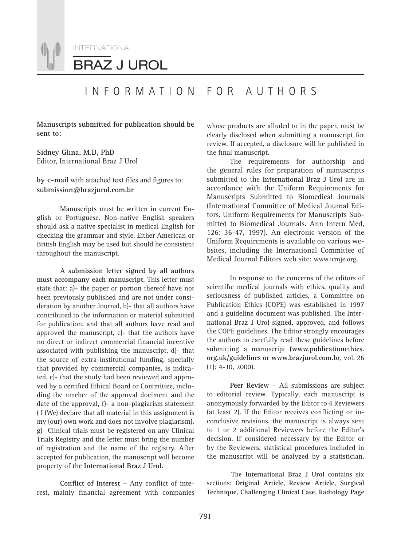

## INFORMATION FOR AUTHORS

**Manuscripts submitted for publication should be sent to:**

**Sidney Glina, M.D, PhD** Editor, International Braz J Urol

#### by e-mail with attached text files and figures to: **submission@brazjurol.com.br**

Manuscripts must be written in current English or Portuguese. Non-native English speakers should ask a native specialist in medical English for checking the grammar and style. Either American or British English may be used but should be consistent throughout the manuscript.

**A submission letter signed by all authors must accompany each manuscript.** This letter must state that: a)- the paper or portion thereof have not been previously published and are not under consideration by another Journal, b)- that all authors have contributed to the information or material submitted for publication, and that all authors have read and approved the manuscript, c)- that the authors have no direct or indirect commercial financial incentive associated with publishing the manuscript, d)- that the source of extra-institutional funding, specially that provided by commercial companies, is indicated, e)- that the study had been reviewed and approved by a certified Ethical Board or Committee, including the nmeber of the approval dociment and the date of the approval, f)- a non-plagiarism statement ( I (We) declare that all material in this assignment is my (our) own work and does not involve plagiarism). g)- Clinical trials must be registered on any Clinical Trials Registry and the letter must bring the number of registration and the name of the registry. After accepted for publication, the manuscript will become property of the **International Braz J Urol.**

Conflict of Interest - Any conflict of interest, mainly financial agreement with companies

whose products are alluded to in the paper, must be clearly disclosed when submitting a manuscript for review. If accepted, a disclosure will be published in the final manuscript.

The requirements for authorship and the general rules for preparation of manuscripts submitted to the **International Braz J Urol** are in accordance with the Uniform Requirements for Manuscripts Submitted to Biomedical Journals (International Committee of Medical Journal Editors. Uniform Requirements for Manuscripts Submitted to Biomedical Journals. Ann Intern Med, 126: 36-47, 1997). An electronic version of the Uniform Requirements is available on various websites, including the International Committee of Medical Journal Editors web site: www.icmje.org.

In response to the concerns of the editors of scientific medical journals with ethics, quality and seriousness of published articles, a Committee on Publication Ethics (COPE) was established in 1997 and a guideline document was published. The International Braz J Urol signed, approved, and follows the COPE guidelines. The Editor strongly encourages the authors to carefully read these guidelines before submitting a manuscript **(www.publicationethics. org.uk/guidelines or www.brazjurol.com.br**, vol. 26 (1): 4-10, 2000).

**Peer Review** – All submissions are subject to editorial review. Typically, each manuscript is anonymously forwarded by the Editor to 4 Reviewers (at least 2). If the Editor receives conflicting or inconclusive revisions, the manuscript is always sent to 1 or 2 additional Reviewers before the Editor's decision. If considered necessary by the Editor or by the Reviewers, statistical procedures included in the manuscript will be analyzed by a statistician.

The **International Braz J Urol** contains six sections: **Original Article, Review Article, Surgical Technique, Challenging Clinical Case, Radiology Page**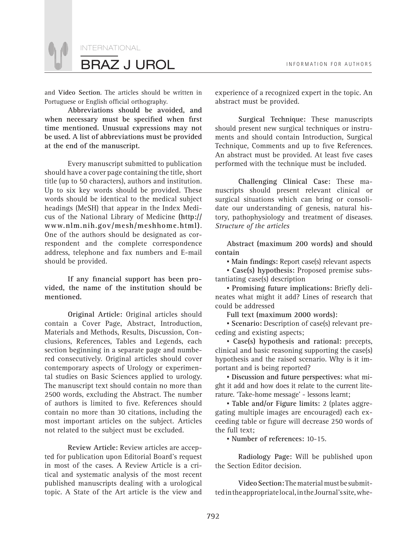

and **Video Section**. The articles should be written in Portuguese or English official orthography.

**Abbreviations should be avoided, and**  when necessary must be specified when first **time mentioned. Unusual expressions may not be used. A list of abbreviations must be provided at the end of the manuscript.** 

Every manuscript submitted to publication should have a cover page containing the title, short title (up to 50 characters), authors and institution. Up to six key words should be provided. These words should be identical to the medical subject headings (MeSH) that appear in the Index Medicus of the National Library of Medicine **(http:// www.nlm.nih.gov/mesh/meshhome.html)**. One of the authors should be designated as correspondent and the complete correspondence address, telephone and fax numbers and E-mail should be provided.

If any financial support has been pro**vided, the name of the institution should be mentioned.**

**Original Article:** Original articles should contain a Cover Page, Abstract, Introduction, Materials and Methods, Results, Discussion, Conclusions, References, Tables and Legends, each section beginning in a separate page and numbered consecutively. Original articles should cover contemporary aspects of Urology or experimental studies on Basic Sciences applied to urology. The manuscript text should contain no more than 2500 words, excluding the Abstract. The number of authors is limited to five. References should contain no more than 30 citations, including the most important articles on the subject. Articles not related to the subject must be excluded.

**Review Article:** Review articles are accepted for publication upon Editorial Board's request in most of the cases. A Review Article is a critical and systematic analysis of the most recent published manuscripts dealing with a urological topic. A State of the Art article is the view and experience of a recognized expert in the topic. An abstract must be provided.

**Surgical Technique:** These manuscripts should present new surgical techniques or instruments and should contain Introduction, Surgical Technique, Comments and up to five References. An abstract must be provided. At least five cases performed with the technique must be included.

**Challenging Clinical Case:** These manuscripts should present relevant clinical or surgical situations which can bring or consolidate our understanding of genesis, natural history, pathophysiology and treatment of diseases. *Structure of the articles*

**Abstract (maximum 200 words) and should contain**

**• Main findings: Report case(s) relevant aspects** 

*▪* **Case(s) hypothesis:** Proposed premise substantiating case(s) description

**• Promising future implications: Briefly deli**neates what might it add? Lines of research that could be addressed

**Full text (maximum 2000 words):**

*▪* **Scenario:** Description of case(s) relevant preceding and existing aspects;

*▪* **Case(s) hypothesis and rational:** precepts, clinical and basic reasoning supporting the case(s) hypothesis and the raised scenario. Why is it important and is being reported?

*▪* **Discussion and future perspectives:** what might it add and how does it relate to the current literature. 'Take-home message' - lessons learnt;

*▪* **Table and/or Figure limits:** 2 (plates aggregating multiple images are encouraged) each exceeding table or figure will decrease 250 words of the full text;

*▪* **Number of references:** 10-15.

**Radiology Page:** Will be published upon the Section Editor decision.

**Video Section:** The material must be submitted in the appropriate local, in the Journal's site, whe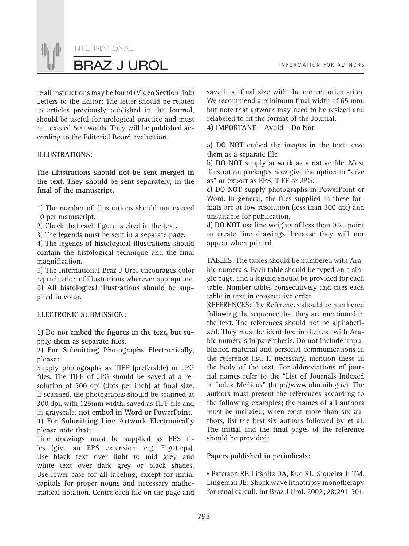INTERNATIONAL BRAZ J UROL **INFORMATION FOR AUTHORS** 

re all instructions may be found (Video Section link) Letters to the Editor: The letter should be related to articles previously published in the Journal, should be useful for urological practice and must not exceed 500 words. They will be published according to the Editorial Board evaluation.

#### **ILLUSTRATIONS:**

**The illustrations should not be sent merged in the text. They should be sent separately, in the**  final of the manuscript.

1) The number of illustrations should not exceed 10 per manuscript.

2) Check that each figure is cited in the text.

3) The legends must be sent in a separate page.

4) The legends of histological illustrations should contain the histological technique and the final magnification.

5) The International Braz J Urol encourages color reproduction of illustrations wherever appropriate. **6) All histological illustrations should be supplied in color.** 

#### **ELECTRONIC SUBMISSION:**

1) Do not embed the figures in the text, but supply them as separate files.

**2) For Submitting Photographs Electronically, please:**

Supply photographs as TIFF (preferable) or JPG files. The TIFF of JPG should be saved at a resolution of 300 dpi (dots per inch) at final size. If scanned, the photographs should be scanned at 300 dpi, with 125mm width, saved as TIFF file and in grayscale, **not embed in Word or PowerPoint. 3) For Submitting Line Artwork Electronically please note that:**

Line drawings must be supplied as EPS files (give an EPS extension, e.g. Fig01.eps). Use black text over light to mid grey and white text over dark grey or black shades. Use lower case for all labeling, except for initial capitals for proper nouns and necessary mathematical notation. Centre each file on the page and save it at final size with the correct orientation. We recommend a minimum final width of 65 mm, but note that artwork may need to be resized and relabeled to fit the format of the Journal.

**4) IMPORTANT - Avoid - Do Not**

a) **DO NOT** embed the images in the text; save them as a separate file

b) DO NOT supply artwork as a native file. Most illustration packages now give the option to "save as" or export as EPS, TIFF or JPG.

c) **DO NOT** supply photographs in PowerPoint or Word. In general, the files supplied in these formats are at low resolution (less than 300 dpi) and unsuitable for publication.

d) **DO NOT** use line weights of less than 0.25 point to create line drawings, because they will nor appear when printed.

TABLES: The tables should be numbered with Arabic numerals. Each table should be typed on a single page, and a legend should be provided for each table. Number tables consecutively and cites each table in text in consecutive order.

REFERENCES: The References should be numbered following the sequence that they are mentioned in the text. The references should not be alphabetized. They must be identified in the text with Arabic numerals in parenthesis. Do not include unpublished material and personal communications in the reference list. If necessary, mention these in the body of the text. For abbreviations of journal names refer to the "List of Journals Indexed in Index Medicus" (http://www.nlm.nih.gov). The authors must present the references according to the following examples; the names of **all authors** must be included; when exist more than six authors, list the first six authors followed by et al. The **initial** and the final pages of the reference should be provided:

#### **Papers published in periodicals:**

*▪* Paterson RF, Lifshitz DA, Kuo RL, Siqueira Jr TM, Lingeman JE: Shock wave lithotripsy monotherapy for renal calculi. Int Braz J Urol. 2002; 28:291-301.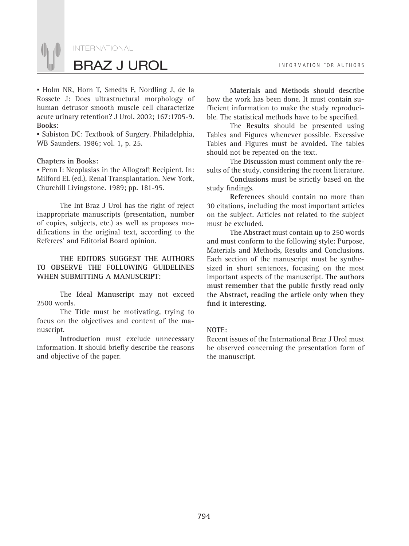

*▪* Holm NR, Horn T, Smedts F, Nordling J, de la Rossete J: Does ultrastructural morphology of human detrusor smooth muscle cell characterize acute urinary retention? J Urol. 2002; 167:1705-9. **Books:**

*▪* Sabiston DC: Textbook of Surgery. Philadelphia, WB Saunders. 1986; vol. 1, p. 25.

#### **Chapters in Books:**

*▪* Penn I: Neoplasias in the Allograft Recipient. In: Milford EL (ed.), Renal Transplantation. New York, Churchill Livingstone. 1989; pp. 181-95.

The Int Braz J Urol has the right of reject inappropriate manuscripts (presentation, number of copies, subjects, etc.) as well as proposes modifications in the original text, according to the Referees' and Editorial Board opinion.

**THE EDITORS SUGGEST THE AUTHORS TO OBSERVE THE FOLLOWING GUIDELINES WHEN SUBMITTING A MANUSCRIPT:**

The **Ideal Manuscript** may not exceed 2500 words.

The **Title** must be motivating, trying to focus on the objectives and content of the manuscript.

**Introduction** must exclude unnecessary information. It should briefly describe the reasons and objective of the paper.

**Materials and Methods** should describe how the work has been done. It must contain sufficient information to make the study reproducible. The statistical methods have to be specified.

The **Results** should be presented using Tables and Figures whenever possible. Excessive Tables and Figures must be avoided. The tables should not be repeated on the text.

The **Discussion** must comment only the results of the study, considering the recent literature.

**Conclusions** must be strictly based on the study findings.

**References** should contain no more than 30 citations, including the most important articles on the subject. Articles not related to the subject must be excluded.

**The Abstract** must contain up to 250 words and must conform to the following style: Purpose, Materials and Methods, Results and Conclusions. Each section of the manuscript must be synthesized in short sentences, focusing on the most important aspects of the manuscript. **The authors**  must remember that the public firstly read only **the Abstract, reading the article only when they**  find it interesting.

#### **NOTE:**

Recent issues of the International Braz J Urol must be observed concerning the presentation form of the manuscript.